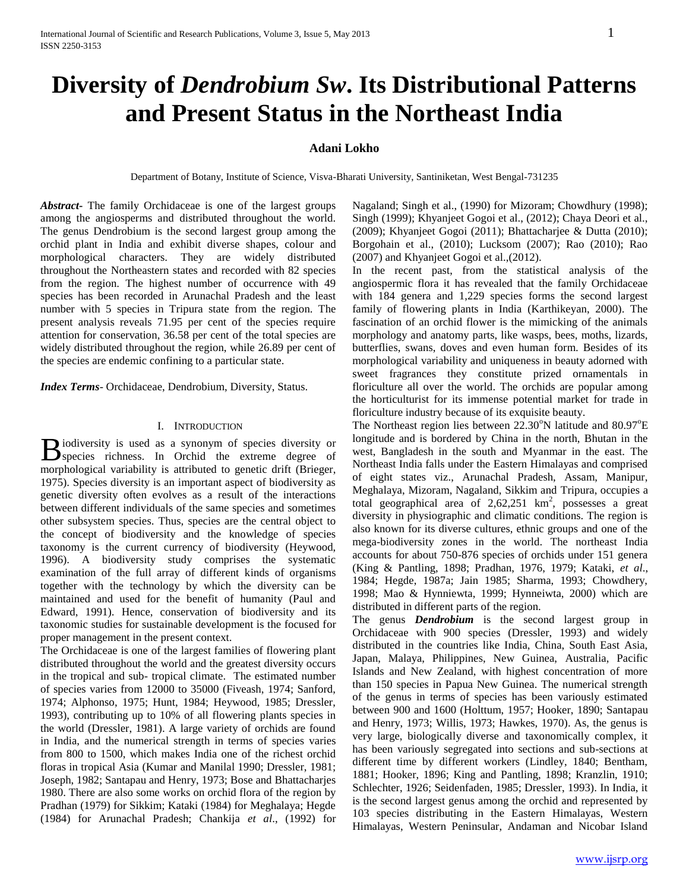# **Diversity of** *Dendrobium Sw***. Its Distributional Patterns and Present Status in the Northeast India**

# **Adani Lokho**

Department of Botany, Institute of Science, Visva-Bharati University, Santiniketan, West Bengal-731235

*Abstract***-** The family Orchidaceae is one of the largest groups among the angiosperms and distributed throughout the world. The genus Dendrobium is the second largest group among the orchid plant in India and exhibit diverse shapes, colour and morphological characters. They are widely distributed throughout the Northeastern states and recorded with 82 species from the region. The highest number of occurrence with 49 species has been recorded in Arunachal Pradesh and the least number with 5 species in Tripura state from the region. The present analysis reveals 71.95 per cent of the species require attention for conservation, 36.58 per cent of the total species are widely distributed throughout the region, while 26.89 per cent of the species are endemic confining to a particular state.

*Index Terms*- Orchidaceae, Dendrobium, Diversity, Status.

## I. INTRODUCTION

iodiversity is used as a synonym of species diversity or Biodiversity is used as a synonym of species diversity or species richness. In Orchid the extreme degree of morphological variability is attributed to genetic drift (Brieger, 1975). Species diversity is an important aspect of biodiversity as genetic diversity often evolves as a result of the interactions between different individuals of the same species and sometimes other subsystem species. Thus, species are the central object to the concept of biodiversity and the knowledge of species taxonomy is the current currency of biodiversity (Heywood, 1996). A biodiversity study comprises the systematic examination of the full array of different kinds of organisms together with the technology by which the diversity can be maintained and used for the benefit of humanity (Paul and Edward, 1991). Hence, conservation of biodiversity and its taxonomic studies for sustainable development is the focused for proper management in the present context.

The Orchidaceae is one of the largest families of flowering plant distributed throughout the world and the greatest diversity occurs in the tropical and sub- tropical climate. The estimated number of species varies from 12000 to 35000 (Fiveash, 1974; Sanford, 1974; Alphonso, 1975; Hunt, 1984; Heywood, 1985; Dressler, 1993), contributing up to 10% of all flowering plants species in the world (Dressler, 1981). A large variety of orchids are found in India, and the numerical strength in terms of species varies from 800 to 1500, which makes India one of the richest orchid floras in tropical Asia (Kumar and Manilal 1990; Dressler, 1981; Joseph, 1982; Santapau and Henry, 1973; Bose and Bhattacharjes 1980. There are also some works on orchid flora of the region by Pradhan (1979) for Sikkim; Kataki (1984) for Meghalaya; Hegde (1984) for Arunachal Pradesh; Chankija *et al*., (1992) for Nagaland; Singh et al., (1990) for Mizoram; Chowdhury (1998); Singh (1999); Khyanjeet Gogoi et al., (2012); Chaya Deori et al., (2009); Khyanjeet Gogoi (2011); Bhattacharjee & Dutta (2010); Borgohain et al., (2010); Lucksom (2007); Rao (2010); Rao (2007) and Khyanjeet Gogoi et al.,(2012).

In the recent past, from the statistical analysis of the angiospermic flora it has revealed that the family Orchidaceae with 184 genera and 1,229 species forms the second largest family of flowering plants in India (Karthikeyan, 2000). The fascination of an orchid flower is the mimicking of the animals morphology and anatomy parts, like wasps, bees, moths, lizards, butterflies, swans, doves and even human form. Besides of its morphological variability and uniqueness in beauty adorned with sweet fragrances they constitute prized ornamentals in floriculture all over the world. The orchids are popular among the horticulturist for its immense potential market for trade in floriculture industry because of its exquisite beauty.

The Northeast region lies between  $22.30^{\circ}$ N latitude and  $80.97^{\circ}$ E longitude and is bordered by China in the north, Bhutan in the west, Bangladesh in the south and Myanmar in the east. The Northeast India falls under the Eastern Himalayas and comprised of eight states viz., Arunachal Pradesh, Assam, Manipur, Meghalaya, Mizoram, Nagaland, Sikkim and Tripura, occupies a total geographical area of  $2,62,251$  km<sup>2</sup>, possesses a great diversity in physiographic and climatic conditions. The region is also known for its diverse cultures, ethnic groups and one of the mega-biodiversity zones in the world. The northeast India accounts for about 750-876 species of orchids under 151 genera (King & Pantling, 1898; Pradhan, 1976, 1979; Kataki, *et al*., 1984; Hegde, 1987a; Jain 1985; Sharma, 1993; Chowdhery, 1998; Mao & Hynniewta, 1999; Hynneiwta, 2000) which are distributed in different parts of the region.

The genus *Dendrobium* is the second largest group in Orchidaceae with 900 species (Dressler, 1993) and widely distributed in the countries like India, China, South East Asia, Japan, Malaya, Philippines, New Guinea, Australia, Pacific Islands and New Zealand, with highest concentration of more than 150 species in Papua New Guinea. The numerical strength of the genus in terms of species has been variously estimated between 900 and 1600 (Holttum, 1957; Hooker, 1890; Santapau and Henry, 1973; Willis, 1973; Hawkes, 1970). As, the genus is very large, biologically diverse and taxonomically complex, it has been variously segregated into sections and sub-sections at different time by different workers (Lindley, 1840; Bentham, 1881; Hooker, 1896; King and Pantling, 1898; Kranzlin, 1910; Schlechter, 1926; Seidenfaden, 1985; Dressler, 1993). In India, it is the second largest genus among the orchid and represented by 103 species distributing in the Eastern Himalayas, Western Himalayas, Western Peninsular, Andaman and Nicobar Island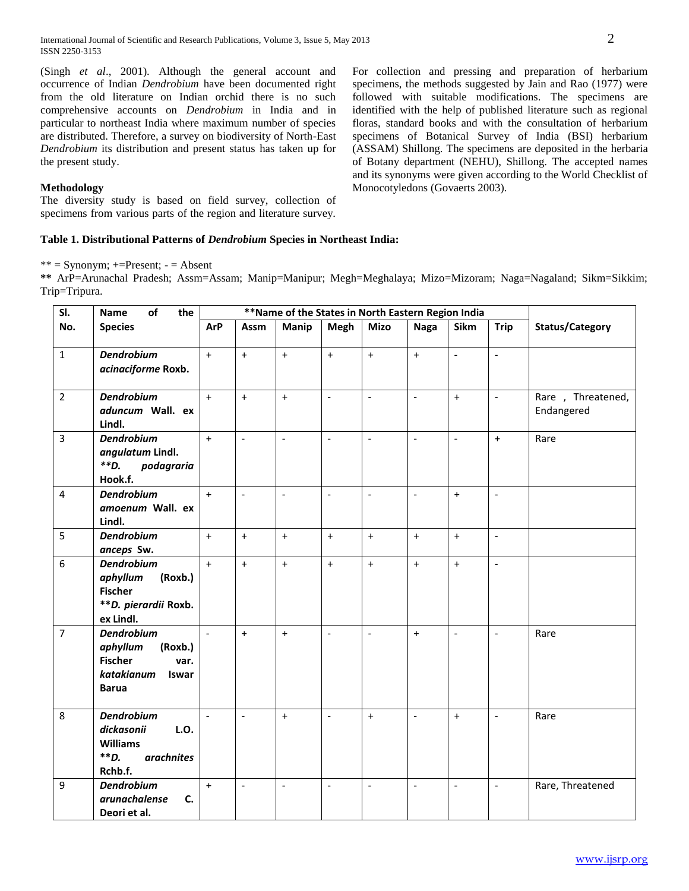(Singh *et al*., 2001). Although the general account and occurrence of Indian *Dendrobium* have been documented right from the old literature on Indian orchid there is no such comprehensive accounts on *Dendrobium* in India and in particular to northeast India where maximum number of species are distributed. Therefore, a survey on biodiversity of North-East *Dendrobium* its distribution and present status has taken up for the present study.

## **Methodology**

The diversity study is based on field survey, collection of specimens from various parts of the region and literature survey.

**Table 1. Distributional Patterns of** *Dendrobium* **Species in Northeast India:**

 $*** =$  Synonym;  $+=$ Present;  $=$  Absent

**\*\*** ArP=Arunachal Pradesh; Assm=Assam; Manip=Manipur; Megh=Meghalaya; Mizo=Mizoram; Naga=Nagaland; Sikm=Sikkim; Trip=Tripura.

| SI.            | of<br>Name<br>the                                                                                         |                          | **Name of the States in North Eastern Region India |                          |                          |                          |                |                          |                          |                                 |
|----------------|-----------------------------------------------------------------------------------------------------------|--------------------------|----------------------------------------------------|--------------------------|--------------------------|--------------------------|----------------|--------------------------|--------------------------|---------------------------------|
| No.            | <b>Species</b>                                                                                            | <b>ArP</b>               | Assm                                               | Manip                    | Megh                     | <b>Mizo</b>              | <b>Naga</b>    | Sikm                     | <b>Trip</b>              | Status/Category                 |
| $\mathbf{1}$   | <b>Dendrobium</b><br>acinaciforme Roxb.                                                                   | $+$                      | $+$                                                | $+$                      | $+$                      | $+$                      | $+$            | $\omega$                 | $\overline{\phantom{a}}$ |                                 |
| $\overline{2}$ | <b>Dendrobium</b><br>aduncum Wall. ex<br>Lindl.                                                           | $+$                      | $+$                                                | $+$                      | $\mathcal{L}$            | $\overline{\phantom{a}}$ | $\frac{1}{2}$  | $+$                      | $\overline{\phantom{a}}$ | Rare, Threatened,<br>Endangered |
| $\overline{3}$ | <b>Dendrobium</b><br>angulatum Lindl.<br>$*$ $D.$<br>podagraria<br>Hook.f.                                | $+$                      | $\overline{\phantom{a}}$                           | $\overline{\phantom{a}}$ | $\overline{\phantom{a}}$ | $\bar{\phantom{a}}$      | $\overline{a}$ | $\mathbf{r}$             | $+$                      | Rare                            |
| 4              | <b>Dendrobium</b><br>amoenum Wall. ex<br>Lindl.                                                           | $+$                      | $\overline{\phantom{a}}$                           | $\sim$                   | $\blacksquare$           | $\Box$                   | $\overline{a}$ | $+$                      | $\overline{\phantom{a}}$ |                                 |
| 5              | <b>Dendrobium</b><br>anceps Sw.                                                                           | $+$                      | $\ddot{+}$                                         | $+$                      | $+$                      | $\ddot{}$                | $+$            | $+$                      | $\bar{\phantom{a}}$      |                                 |
| 6              | <b>Dendrobium</b><br>aphyllum<br>(Roxb.)<br><b>Fischer</b><br>**D. pierardii Roxb.<br>ex Lindl.           | $\ddot{+}$               | $+$                                                | $+$                      | $+$                      | $+$                      | $+$            | $+$                      | $\overline{a}$           |                                 |
| $\overline{7}$ | <b>Dendrobium</b><br>aphyllum<br>(Roxb.)<br><b>Fischer</b><br>var.<br>katakianum<br>Iswar<br><b>Barua</b> |                          | $+$                                                | $\ddot{}$                | $\overline{\phantom{a}}$ | $\overline{\phantom{a}}$ | $\ddot{}$      | $\overline{\phantom{a}}$ | $\overline{\phantom{a}}$ | Rare                            |
| 8              | <b>Dendrobium</b><br>dickasonii<br>L.O.<br><b>Williams</b><br>$*$ $D.$<br><i>arachnites</i><br>Rchb.f.    | $\overline{\phantom{a}}$ | $\overline{\phantom{a}}$                           | $+$                      | $\overline{\phantom{a}}$ | $+$                      |                | $+$                      | $\overline{\phantom{a}}$ | Rare                            |
| 9              | <b>Dendrobium</b><br>arunachalense<br>C.<br>Deori et al.                                                  | $+$                      | $\overline{\phantom{a}}$                           | $\overline{\phantom{a}}$ | $\overline{\phantom{a}}$ | $\overline{\phantom{a}}$ | $\overline{a}$ | $\overline{\phantom{a}}$ | $\overline{\phantom{a}}$ | Rare, Threatened                |

For collection and pressing and preparation of herbarium specimens, the methods suggested by Jain and Rao (1977) were followed with suitable modifications. The specimens are identified with the help of published literature such as regional floras, standard books and with the consultation of herbarium specimens of Botanical Survey of India (BSI) herbarium (ASSAM) Shillong. The specimens are deposited in the herbaria of Botany department (NEHU), Shillong. The accepted names and its synonyms were given according to the World Checklist of

Monocotyledons (Govaerts 2003).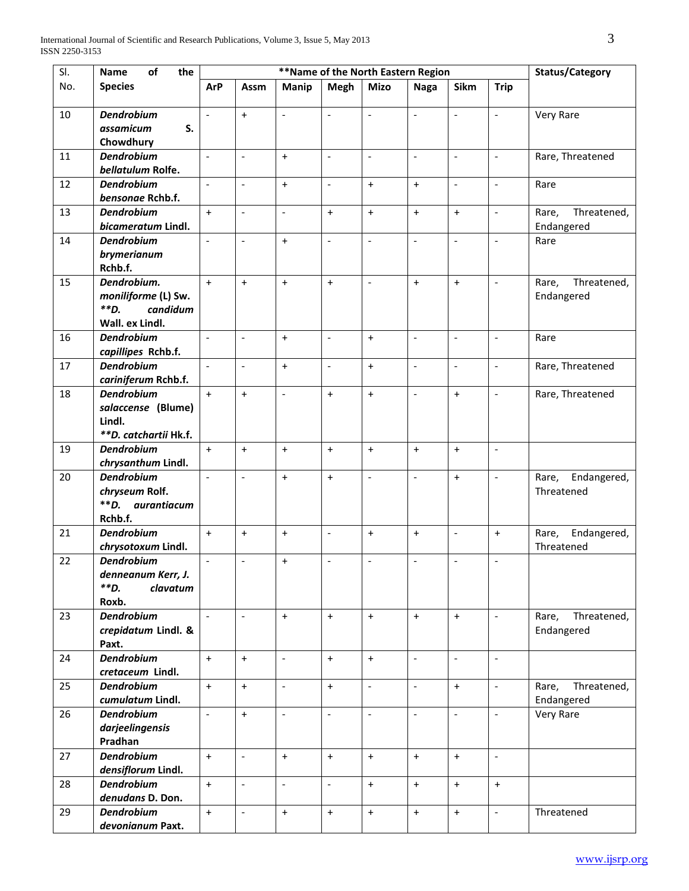| SI. | of<br><b>Name</b><br>the                                                   |                          |                              | Status/Category          |                          |                              |                          |                          |                          |                                    |
|-----|----------------------------------------------------------------------------|--------------------------|------------------------------|--------------------------|--------------------------|------------------------------|--------------------------|--------------------------|--------------------------|------------------------------------|
| No. | <b>Species</b>                                                             | <b>ArP</b>               | Assm                         | Manip                    | <b>Megh</b>              | <b>Mizo</b>                  | <b>Naga</b>              | Sikm                     | <b>Trip</b>              |                                    |
| 10  | <b>Dendrobium</b><br>S.<br>assamicum<br>Chowdhury                          | $\blacksquare$           | $+$                          | $\overline{\phantom{a}}$ | $\Box$                   | $\overline{\phantom{a}}$     | $\overline{\phantom{a}}$ | $\overline{\phantom{a}}$ | $\overline{\phantom{a}}$ | Very Rare                          |
| 11  | <b>Dendrobium</b><br>bellatulum Rolfe.                                     | $\ddot{\phantom{a}}$     | $\frac{1}{2}$                | $+$                      | $\overline{\phantom{a}}$ | $\frac{1}{2}$                | $\overline{a}$           | $\overline{\phantom{a}}$ | $\overline{\phantom{a}}$ | Rare, Threatened                   |
| 12  | <b>Dendrobium</b><br>bensonae Rchb.f.                                      | $\overline{a}$           | $\overline{\phantom{m}}$     | $+$                      | $\overline{\phantom{m}}$ | $\ddot{}$                    | $+$                      | $\overline{a}$           | $\sim$                   | Rare                               |
| 13  | <b>Dendrobium</b><br>bicameratum Lindl.                                    | $+$                      | $\overline{\phantom{a}}$     | $\overline{\phantom{a}}$ | $\ddot{}$                | $\ddot{}$                    | $\ddot{}$                | $\ddot{}$                | $\overline{\phantom{a}}$ | Threatened,<br>Rare,<br>Endangered |
| 14  | <b>Dendrobium</b><br>brymerianum<br>Rchb.f.                                | $\blacksquare$           | $\frac{1}{2}$                | $+$                      | $\frac{1}{2}$            | $\overline{a}$               | $\frac{1}{2}$            | $\overline{\phantom{a}}$ | $\overline{\phantom{a}}$ | Rare                               |
| 15  | Dendrobium.<br>moniliforme (L) Sw.<br>**D.<br>candidum                     | $+$                      | $+$                          | $+$                      | $+$                      | $\frac{1}{2}$                | $+$                      | $+$                      | $\sim$                   | Threatened,<br>Rare,<br>Endangered |
| 16  | Wall. ex Lindl.<br><b>Dendrobium</b><br>capillipes Rchb.f.                 | $\blacksquare$           | $\overline{\phantom{a}}$     | $\ddot{}$                | $\overline{\phantom{a}}$ | $\ddot{}$                    | $\overline{\phantom{a}}$ | $\overline{\phantom{a}}$ | $\overline{\phantom{a}}$ | Rare                               |
| 17  | <b>Dendrobium</b><br>cariniferum Rchb.f.                                   | $\overline{a}$           | $\frac{1}{2}$                | $\ddot{}$                | $\overline{\phantom{a}}$ | $\ddot{}$                    | $\overline{a}$           | $\overline{\phantom{a}}$ | $\overline{\phantom{a}}$ | Rare, Threatened                   |
| 18  | <b>Dendrobium</b><br>salaccense (Blume)<br>Lindl.<br>**D. catchartii Hk.f. | $+$                      | $\ddotmark$                  | $\overline{a}$           | $+$                      | $\ddot{}$                    | $\overline{a}$           | $+$                      | $\sim$                   | Rare, Threatened                   |
| 19  | <b>Dendrobium</b><br>chrysanthum Lindl.                                    | $+$                      | $\ddot{}$                    | $+$                      | $+$                      | $+$                          | $\ddot{}$                | $+$                      | $\overline{\phantom{a}}$ |                                    |
| 20  | <b>Dendrobium</b><br>chryseum Rolf.<br>$*$ $D.$<br>aurantiacum<br>Rchb.f.  | $\overline{a}$           | $\qquad \qquad \blacksquare$ | $+$                      | $\ddot{}$                | $\overline{a}$               | $\overline{a}$           | $+$                      | $\overline{\phantom{a}}$ | Rare,<br>Endangered,<br>Threatened |
| 21  | <b>Dendrobium</b><br>chrysotoxum Lindl.                                    | $+$                      | $\ddot{}$                    | $\ddot{}$                | $\overline{\phantom{a}}$ | $\ddot{}$                    | $\ddot{}$                | $\overline{\phantom{a}}$ | $\ddot{}$                | Endangered,<br>Rare,<br>Threatened |
| 22  | <b>Dendrobium</b><br>denneanum Kerr, J.<br>**D.<br>clavatum<br>Roxb.       | $\overline{\phantom{a}}$ | $\overline{a}$               | $\ddot{}$                | $\overline{\phantom{a}}$ | $\overline{\phantom{a}}$     | $\overline{\phantom{a}}$ | $\overline{\phantom{a}}$ | $\sim$                   |                                    |
| 23  | <b>Dendrobium</b><br>crepidatum Lindl. &<br>Paxt.                          | $\mathbb{L}$             | $\overline{a}$               | $+$                      | $+$                      | $+$                          | $+$                      | $+$                      | $\blacksquare$           | Threatened,<br>Rare,<br>Endangered |
| 24  | <b>Dendrobium</b><br>cretaceum Lindl.                                      | $+$                      | $+$                          | $\overline{\phantom{a}}$ | $+$                      | $+$                          | $\frac{1}{2}$            | $\overline{\phantom{a}}$ | $\overline{\phantom{a}}$ |                                    |
| 25  | <b>Dendrobium</b><br>cumulatum Lindl.                                      | $+$                      | $\ddot{}$                    | $\overline{\phantom{a}}$ | $+$                      | $\qquad \qquad \blacksquare$ | $\overline{a}$           | $+$                      | $\overline{\phantom{a}}$ | Threatened,<br>Rare,<br>Endangered |
| 26  | <b>Dendrobium</b><br>darjeelingensis<br>Pradhan                            | $\overline{\phantom{a}}$ | $\ddot{}$                    | $\overline{\phantom{0}}$ | $\overline{\phantom{a}}$ | $\overline{\phantom{a}}$     | $\overline{\phantom{a}}$ | $\overline{\phantom{a}}$ | $\sim$                   | Very Rare                          |
| 27  | <b>Dendrobium</b><br>densiflorum Lindl.                                    | $+$                      | $\overline{\phantom{a}}$     | $+$                      | $+$                      | $+$                          | $+$                      | $+$                      | $\sim$                   |                                    |
| 28  | <b>Dendrobium</b><br>denudans D. Don.                                      | $+$                      | $\overline{\phantom{a}}$     | $\overline{\phantom{0}}$ | $\Box$                   | $+$                          | $+$                      | $+$                      | $\ddot{}$                |                                    |
| 29  | <b>Dendrobium</b><br>devonianum Paxt.                                      | $+$                      | $\frac{1}{2}$                | $\ddot{}$                | $+$                      | $\ddot{}$                    | $+$                      | $+$                      | $\sim$                   | Threatened                         |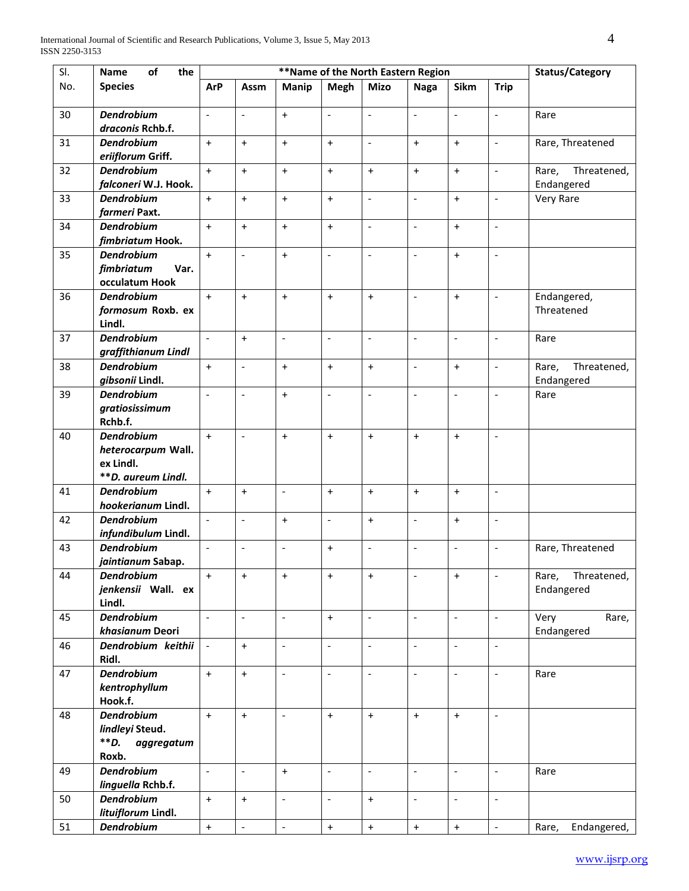| SI. | of<br>the<br>Name                       |                          |                              | Status/Category          |                          |                                                   |                                  |                                  |                          |                      |
|-----|-----------------------------------------|--------------------------|------------------------------|--------------------------|--------------------------|---------------------------------------------------|----------------------------------|----------------------------------|--------------------------|----------------------|
| No. | <b>Species</b>                          | <b>ArP</b>               | Assm                         | Manip                    | <b>Megh</b>              | **Name of the North Eastern Region<br><b>Mizo</b> | <b>Naga</b>                      | Sikm                             | <b>Trip</b>              |                      |
| 30  | <b>Dendrobium</b>                       | $\Box$                   | $\overline{\phantom{a}}$     | $\ddot{}$                | $\overline{\phantom{a}}$ | $\overline{\phantom{0}}$                          | $\overline{\phantom{a}}$         | $\overline{\phantom{a}}$         | $\sim$                   | Rare                 |
|     | draconis Rchb.f.                        |                          |                              |                          |                          |                                                   |                                  |                                  |                          |                      |
| 31  | <b>Dendrobium</b>                       | $+$                      | $\ddot{}$                    | $+$                      | $\ddot{}$                | $\overline{a}$                                    | $\ddot{}$                        | $+$                              | $\overline{\phantom{a}}$ | Rare, Threatened     |
|     | eriiflorum Griff.                       |                          |                              |                          |                          |                                                   |                                  |                                  |                          |                      |
| 32  | <b>Dendrobium</b>                       | $+$                      | $+$                          | $+$                      | $+$                      | $\ddot{}$                                         | $+$                              | $+$                              | $\sim$                   | Threatened,<br>Rare, |
|     | falconeri W.J. Hook.                    |                          |                              |                          |                          |                                                   |                                  |                                  |                          | Endangered           |
| 33  | <b>Dendrobium</b>                       | $+$                      | $\ddot{}$                    | $\ddot{}$                | $+$                      | $\overline{a}$                                    | $\frac{1}{2}$                    | $+$                              | $\overline{\phantom{a}}$ | Very Rare            |
|     | farmeri Paxt.                           |                          |                              |                          |                          |                                                   |                                  |                                  |                          |                      |
| 34  | <b>Dendrobium</b>                       | $+$                      | $\ddot{}$                    | $+$                      | $+$                      | $\qquad \qquad \blacksquare$                      | $\overline{\phantom{a}}$         | $+$                              | $\sim$                   |                      |
|     | fimbriatum Hook.                        |                          |                              |                          |                          |                                                   |                                  |                                  |                          |                      |
| 35  | <b>Dendrobium</b>                       | $+$                      | $\overline{a}$               | $+$                      | $\overline{\phantom{a}}$ | $\overline{\phantom{a}}$                          | $\overline{\phantom{a}}$         | $+$                              | $\overline{\phantom{a}}$ |                      |
|     | fimbriatum<br>Var.<br>occulatum Hook    |                          |                              |                          |                          |                                                   |                                  |                                  |                          |                      |
| 36  | <b>Dendrobium</b>                       | $+$                      | $\ddot{}$                    | $\ddot{}$                | $+$                      | $+$                                               | $\overline{\phantom{a}}$         | $+$                              | $\overline{\phantom{a}}$ | Endangered,          |
|     | formosum Roxb. ex                       |                          |                              |                          |                          |                                                   |                                  |                                  |                          | Threatened           |
|     | Lindl.                                  |                          |                              |                          |                          |                                                   |                                  |                                  |                          |                      |
| 37  | <b>Dendrobium</b>                       | $\overline{\phantom{a}}$ | $+$                          | $\overline{a}$           | $\frac{1}{2}$            | $\overline{a}$                                    | $\overline{a}$                   | $\frac{1}{2}$                    | $\overline{\phantom{a}}$ | Rare                 |
|     | graffithianum Lindl                     |                          |                              |                          |                          |                                                   |                                  |                                  |                          |                      |
| 38  | <b>Dendrobium</b>                       | $+$                      | $\overline{\phantom{m}}$     | $+$                      | $+$                      | $\ddot{}$                                         | $\overline{a}$                   | $+$                              | $\overline{\phantom{a}}$ | Threatened,<br>Rare, |
|     | gibsonii Lindl.                         |                          |                              |                          |                          |                                                   |                                  |                                  |                          | Endangered           |
| 39  | <b>Dendrobium</b>                       | $\overline{a}$           | $\frac{1}{2}$                | $+$                      | $\frac{1}{2}$            | $\overline{a}$                                    | $\overline{a}$                   | $\overline{\phantom{a}}$         | $\overline{\phantom{a}}$ | Rare                 |
|     | gratiosissimum                          |                          |                              |                          |                          |                                                   |                                  |                                  |                          |                      |
|     | Rchb.f.                                 |                          |                              |                          |                          |                                                   |                                  |                                  |                          |                      |
| 40  | <b>Dendrobium</b>                       | $+$                      | $\qquad \qquad \blacksquare$ | $+$                      | $\ddot{}$                | $\ddot{}$                                         | $\ddot{}$                        | $+$                              | $\overline{\phantom{a}}$ |                      |
|     | heterocarpum Wall.                      |                          |                              |                          |                          |                                                   |                                  |                                  |                          |                      |
|     | ex Lindl.                               |                          |                              |                          |                          |                                                   |                                  |                                  |                          |                      |
| 41  | **D. aureum Lindl.<br><b>Dendrobium</b> | $+$                      |                              | $\overline{\phantom{a}}$ | $\ddot{}$                |                                                   |                                  | $+$                              | $\overline{\phantom{a}}$ |                      |
|     | hookerianum Lindl.                      |                          | $\ddot{}$                    |                          |                          | $\ddot{}$                                         | $\begin{array}{c} + \end{array}$ |                                  |                          |                      |
| 42  | <b>Dendrobium</b>                       | $\blacksquare$           | $\frac{1}{2}$                | $\ddot{}$                | $\overline{\phantom{a}}$ | $\ddot{}$                                         | $\frac{1}{2}$                    | $\ddot{}$                        | $\overline{\phantom{a}}$ |                      |
|     | infundibulum Lindl.                     |                          |                              |                          |                          |                                                   |                                  |                                  |                          |                      |
| 43  | <b>Dendrobium</b>                       | $\overline{\phantom{a}}$ | $\qquad \qquad \blacksquare$ | $\overline{a}$           | $\ddot{}$                | $\overline{a}$                                    | $\overline{a}$                   | $\overline{a}$                   | $\overline{\phantom{a}}$ | Rare, Threatened     |
|     | jaintianum Sabap.                       |                          |                              |                          |                          |                                                   |                                  |                                  |                          |                      |
| 44  | <b>Dendrobium</b>                       | $\ddot{}$                | $\ddot{}$                    | $\ddot{}$                | $\ddot{}$                | $\ddot{}$                                         |                                  | $\begin{array}{c} + \end{array}$ | $\overline{\phantom{a}}$ | Threatened,<br>Rare, |
|     | jenkensii Wall. ex                      |                          |                              |                          |                          |                                                   |                                  |                                  |                          | Endangered           |
|     | Lindl.                                  |                          |                              |                          |                          |                                                   |                                  |                                  |                          |                      |
| 45  | <b>Dendrobium</b>                       | $\blacksquare$           | $\frac{1}{2}$                | $\overline{\phantom{a}}$ | $+$                      | $\overline{\phantom{a}}$                          | $\overline{\phantom{a}}$         | $\overline{\phantom{a}}$         | $\blacksquare$           | Very<br>Rare,        |
|     | khasianum Deori                         |                          |                              |                          |                          |                                                   |                                  |                                  |                          | Endangered           |
| 46  | Dendrobium keithii                      | $\blacksquare$           | $\ddot{}$                    | $\overline{\phantom{a}}$ | $\blacksquare$           | $\overline{\phantom{a}}$                          | $\overline{\phantom{a}}$         | $\blacksquare$                   | $\overline{\phantom{a}}$ |                      |
|     | Ridl.                                   |                          |                              |                          |                          |                                                   |                                  |                                  |                          |                      |
| 47  | <b>Dendrobium</b><br>kentrophyllum      | $\ddot{\phantom{1}}$     | $\ddot{}$                    | $\overline{\phantom{0}}$ | $\Box$                   | $\overline{\phantom{a}}$                          | $\Box$                           | $\overline{\phantom{m}}$         | $\overline{\phantom{a}}$ | Rare                 |
|     | Hook.f.                                 |                          |                              |                          |                          |                                                   |                                  |                                  |                          |                      |
| 48  | <b>Dendrobium</b>                       | $+$                      | $+$                          | $\overline{\phantom{a}}$ | $+$                      | $+$                                               | $+$                              | $+$                              | $\sim$                   |                      |
|     | lindleyi Steud.                         |                          |                              |                          |                          |                                                   |                                  |                                  |                          |                      |
|     | **D.<br>aggregatum                      |                          |                              |                          |                          |                                                   |                                  |                                  |                          |                      |
|     | Roxb.                                   |                          |                              |                          |                          |                                                   |                                  |                                  |                          |                      |
| 49  | <b>Dendrobium</b>                       | $\overline{\phantom{a}}$ | $\overline{\phantom{a}}$     | $+$                      | $\Box$                   | $\overline{\phantom{a}}$                          | $\overline{\phantom{a}}$         | $\equiv$                         | $\sim$                   | Rare                 |
|     | linguella Rchb.f.                       |                          |                              |                          |                          |                                                   |                                  |                                  |                          |                      |
| 50  | <b>Dendrobium</b>                       | $+$                      | $+$                          | $\overline{\phantom{a}}$ | $\overline{\phantom{a}}$ | $+$                                               | $\frac{1}{2}$                    | $\overline{\phantom{a}}$         | $\overline{\phantom{a}}$ |                      |
|     | lituiflorum Lindl.                      |                          |                              |                          |                          |                                                   |                                  |                                  |                          |                      |
| 51  | <b>Dendrobium</b>                       | $\pm$                    | $\Box$                       | $\overline{\phantom{0}}$ | $\boldsymbol{+}$         | $\boldsymbol{+}$                                  | $\boldsymbol{+}$                 | $\bf{+}$                         | $\overline{\phantom{a}}$ | Endangered,<br>Rare, |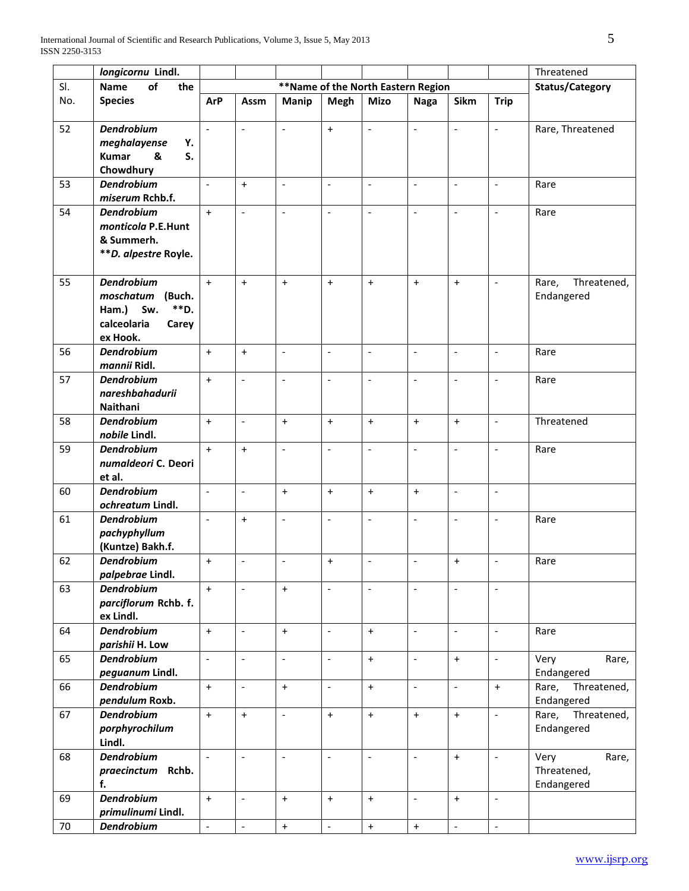|     | longicornu Lindl.                                                                                    |                          |                              |                          |                              |                                                   |                          |                                  |                          | Threatened                                 |
|-----|------------------------------------------------------------------------------------------------------|--------------------------|------------------------------|--------------------------|------------------------------|---------------------------------------------------|--------------------------|----------------------------------|--------------------------|--------------------------------------------|
| SI. | of<br>the<br><b>Name</b>                                                                             |                          |                              | <b>Status/Category</b>   |                              |                                                   |                          |                                  |                          |                                            |
| No. | <b>Species</b>                                                                                       | <b>ArP</b>               | Assm                         | <b>Manip</b>             | <b>Megh</b>                  | **Name of the North Eastern Region<br><b>Mizo</b> | <b>Naga</b>              | Sikm                             | <b>Trip</b>              |                                            |
| 52  | <b>Dendrobium</b><br>meghalayense<br>Y.<br><b>Kumar</b><br>S.<br>&<br>Chowdhury                      | $\overline{a}$           | $\overline{a}$               | $\overline{a}$           | $+$                          | $\overline{a}$                                    | $\overline{a}$           |                                  | $\mathbb{L}$             | Rare, Threatened                           |
| 53  | <b>Dendrobium</b><br>miserum Rchb.f.                                                                 | $\overline{a}$           | $\ddot{}$                    | $\overline{a}$           | $\qquad \qquad \blacksquare$ | $\overline{a}$                                    | $\frac{1}{2}$            | $\overline{a}$                   | $\overline{\phantom{a}}$ | Rare                                       |
| 54  | <b>Dendrobium</b><br>monticola P.E.Hunt<br>& Summerh.<br>**D. alpestre Royle.                        | $\ddot{}$                | $\overline{a}$               | $\overline{a}$           | $\qquad \qquad \blacksquare$ | $\overline{a}$                                    | $\overline{a}$           | $\overline{a}$                   | $\overline{\phantom{a}}$ | Rare                                       |
| 55  | <b>Dendrobium</b><br>moschatum<br>(Buch.<br>**D.<br>Sw.<br>Ham.)<br>calceolaria<br>Carey<br>ex Hook. | $+$                      | $+$                          | $+$                      | $+$                          | $\ddot{}$                                         | $+$                      | $+$                              | $\sim$                   | Threatened,<br>Rare,<br>Endangered         |
| 56  | <b>Dendrobium</b><br>mannii Ridl.                                                                    | $+$                      | $+$                          | $\overline{a}$           | $\overline{\phantom{m}}$     | $\overline{a}$                                    | $\overline{a}$           | $\overline{a}$                   | $\overline{\phantom{a}}$ | Rare                                       |
| 57  | <b>Dendrobium</b><br>nareshbahadurii<br>Naithani                                                     | $+$                      | $\overline{\phantom{m}}$     | $\overline{a}$           | $\overline{\phantom{m}}$     | $\overline{a}$                                    | $\overline{a}$           | $\overline{a}$                   | $\overline{\phantom{a}}$ | Rare                                       |
| 58  | <b>Dendrobium</b><br>nobile Lindl.                                                                   | $+$                      | $\qquad \qquad \blacksquare$ | $\ddot{}$                | $\ddot{}$                    | $\ddot{}$                                         | $\ddot{}$                | $+$                              | $\overline{\phantom{a}}$ | Threatened                                 |
| 59  | <b>Dendrobium</b><br>numaldeori C. Deori<br>et al.                                                   | $+$                      | $\ddot{}$                    | $\overline{a}$           | $\overline{\phantom{a}}$     | $\overline{a}$                                    | $\frac{1}{2}$            | $\blacksquare$                   | $\overline{\phantom{a}}$ | Rare                                       |
| 60  | <b>Dendrobium</b><br>ochreatum Lindl.                                                                | $\blacksquare$           | $\overline{\phantom{a}}$     | $\ddot{}$                | $+$                          | $\ddot{}$                                         | $+$                      | $\overline{\phantom{a}}$         | $\overline{\phantom{a}}$ |                                            |
| 61  | <b>Dendrobium</b><br>pachyphyllum<br>(Kuntze) Bakh.f.                                                | $\overline{\phantom{a}}$ | $\ddot{}$                    | $\overline{a}$           | $\frac{1}{2}$                | $\overline{a}$                                    | $\overline{\phantom{a}}$ | $\overline{a}$                   | $\overline{\phantom{a}}$ | Rare                                       |
| 62  | <b>Dendrobium</b><br>palpebrae Lindl.                                                                | $\ddot{}$                | $\overline{\phantom{m}}$     | $\overline{a}$           | $+$                          | $\overline{\phantom{a}}$                          | $\bar{\phantom{a}}$      | $\begin{array}{c} + \end{array}$ | $\blacksquare$           | Rare                                       |
| 63  | <b>Dendrobium</b><br>parciflorum Rchb. f.<br>ex Lindl.                                               | $+$                      | $\frac{1}{2}$                | $+$                      | $\overline{\phantom{a}}$     | $\qquad \qquad \blacksquare$                      | $\frac{1}{2}$            | $\overline{\phantom{a}}$         | $\overline{\phantom{a}}$ |                                            |
| 64  | <b>Dendrobium</b><br>parishii H. Low                                                                 | $+$                      | $\overline{\phantom{a}}$     | $+$                      | $\overline{\phantom{a}}$     | $\ddot{}$                                         | $\overline{\phantom{a}}$ | $\overline{\phantom{a}}$         | $\overline{\phantom{a}}$ | Rare                                       |
| 65  | <b>Dendrobium</b><br>peguanum Lindl.                                                                 | $\blacksquare$           | $\overline{\phantom{a}}$     | $\overline{\phantom{0}}$ | $\Box$                       | $\ddot{}$                                         | $\overline{\phantom{a}}$ | $\ddot{}$                        | $\overline{\phantom{a}}$ | Very<br>Rare,<br>Endangered                |
| 66  | <b>Dendrobium</b><br>pendulum Roxb.                                                                  | $+$                      | $\overline{\phantom{a}}$     | $+$                      | $\overline{\phantom{a}}$     | $+$                                               | $\overline{\phantom{a}}$ | $\blacksquare$                   | $+$                      | Threatened,<br>Rare,<br>Endangered         |
| 67  | <b>Dendrobium</b><br>porphyrochilum<br>Lindl.                                                        | $+$                      | $+$                          | $\overline{\phantom{0}}$ | $+$                          | $+$                                               | $+$                      | $+$                              | $\mathcal{L}$            | Threatened,<br>Rare,<br>Endangered         |
| 68  | <b>Dendrobium</b><br>praecinctum Rchb.<br>f.                                                         | $\mathbf{r}$             | $\overline{a}$               | $\overline{a}$           | $\overline{\phantom{a}}$     | $\overline{\phantom{m}}$                          | $\frac{1}{2}$            | $+$                              | $\mathbb{L}$             | Very<br>Rare,<br>Threatened,<br>Endangered |
| 69  | <b>Dendrobium</b><br>primulinumi Lindl.                                                              | $+$                      | $\overline{a}$               | $+$                      | $+$                          | $\ddot{}$                                         | $\overline{\phantom{a}}$ | $+$                              | $\overline{\phantom{a}}$ |                                            |
| 70  | <b>Dendrobium</b>                                                                                    | $\overline{\phantom{a}}$ | $\overline{\phantom{a}}$     | $\ddot{}$                | $\blacksquare$               | $\boldsymbol{+}$                                  | $\boldsymbol{+}$         | $\overline{\phantom{a}}$         | $\overline{\phantom{a}}$ |                                            |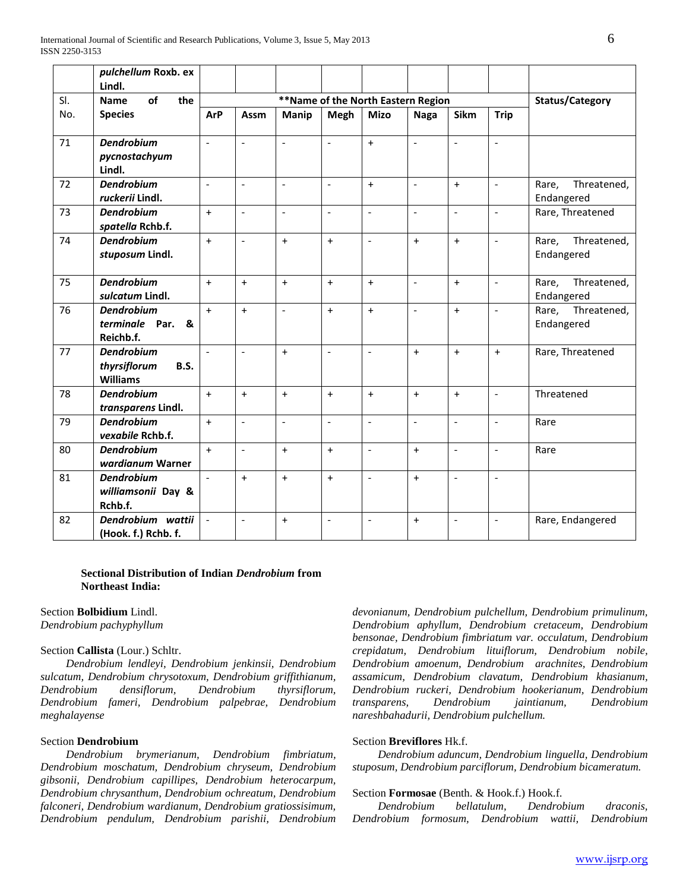|            | pulchellum Roxb. ex                                                 |                          |                          |                |                          |                          |                          |                          |                          |                                    |
|------------|---------------------------------------------------------------------|--------------------------|--------------------------|----------------|--------------------------|--------------------------|--------------------------|--------------------------|--------------------------|------------------------------------|
|            | Lindl.                                                              |                          |                          |                |                          |                          |                          |                          |                          |                                    |
| SI.<br>No. | of<br><b>Name</b><br>the                                            |                          |                          |                | Status/Category          |                          |                          |                          |                          |                                    |
|            | <b>Species</b>                                                      | <b>ArP</b>               | Assm                     | <b>Manip</b>   | Megh                     | <b>Mizo</b>              | <b>Naga</b>              | Sikm                     | <b>Trip</b>              |                                    |
| 71         | <b>Dendrobium</b><br>pycnostachyum<br>Lindl.                        | $\overline{a}$           | $\mathbf{r}$             | $\overline{a}$ | $\overline{\phantom{a}}$ | $+$                      | $\overline{a}$           | $\overline{a}$           | $\sim$                   |                                    |
| 72         | <b>Dendrobium</b><br>ruckerii Lindl.                                | $\overline{\phantom{a}}$ | $\overline{\phantom{a}}$ | $\overline{a}$ | $\overline{\phantom{a}}$ | $\ddot{}$                | $\overline{\phantom{a}}$ | $+$                      | $\overline{\phantom{a}}$ | Threatened,<br>Rare,<br>Endangered |
| 73         | <b>Dendrobium</b><br>spatella Rchb.f.                               | $+$                      | $\overline{\phantom{a}}$ | $\overline{a}$ | $\overline{a}$           | $\overline{a}$           | $\overline{\phantom{a}}$ | $\overline{a}$           | $\sim$                   | Rare, Threatened                   |
| 74         | <b>Dendrobium</b><br>stuposum Lindl.                                | $\ddot{+}$               | $\overline{a}$           | $+$            | $+$                      | $\overline{\phantom{0}}$ | $+$                      | $+$                      | $\mathbf{L}$             | Rare,<br>Threatened,<br>Endangered |
| 75         | <b>Dendrobium</b><br>sulcatum Lindl.                                | $\ddot{}$                | $\ddot{}$                | $+$            | $+$                      | $+$                      | $\overline{\phantom{a}}$ | $+$                      | $\overline{\phantom{a}}$ | Threatened,<br>Rare,<br>Endangered |
| 76         | <b>Dendrobium</b><br>terminale Par.<br>&<br>Reichb.f.               | $+$                      | $\ddot{}$                | $\frac{1}{2}$  | $+$                      | $+$                      | $\overline{a}$           | $+$                      | $\blacksquare$           | Threatened,<br>Rare,<br>Endangered |
| 77         | <b>Dendrobium</b><br>thyrsiflorum<br><b>B.S.</b><br><b>Williams</b> | $\overline{a}$           | $\overline{a}$           | $+$            | $\overline{a}$           | $\overline{a}$           | $\ddot{}$                | $+$                      | $+$                      | Rare, Threatened                   |
| 78         | <b>Dendrobium</b><br>transparens Lindl.                             | $+$                      | $\ddot{}$                | $+$            | $+$                      | $\ddot{}$                | $+$                      | $+$                      | $\overline{\phantom{a}}$ | Threatened                         |
| 79         | <b>Dendrobium</b><br>vexabile Rchb.f.                               | $\ddot{}$                | $\overline{\phantom{a}}$ | $\overline{a}$ | $\overline{\phantom{a}}$ | $\overline{a}$           | $\overline{\phantom{a}}$ | $\overline{a}$           | $\sim$                   | Rare                               |
| 80         | <b>Dendrobium</b><br>wardianum Warner                               | $\ddot{}$                | $\bar{\phantom{a}}$      | $+$            | $\ddot{}$                | $\overline{\phantom{a}}$ | $+$                      | $\overline{\phantom{a}}$ | $\blacksquare$           | Rare                               |
| 81         | <b>Dendrobium</b><br>williamsonii Day &<br>Rchb.f.                  | $\mathbf{r}$             | $+$                      | $+$            | $+$                      | $\overline{a}$           | $+$                      | $\overline{a}$           | $\overline{\phantom{a}}$ |                                    |
| 82         | Dendrobium wattii<br>(Hook. f.) Rchb. f.                            | $\mathbb{L}$             | $\overline{a}$           | $+$            | $\overline{a}$           | $\frac{1}{2}$            | $\ddot{}$                | $\frac{1}{2}$            | $\blacksquare$           | Rare, Endangered                   |

## **Sectional Distribution of Indian** *Dendrobium* **from Northeast India:**

## Section **Bolbidium** Lindl.

*Dendrobium pachyphyllum* 

### Section **Callista** (Lour.) Schltr.

 *Dendrobium lendleyi, Dendrobium jenkinsii, Dendrobium sulcatum, Dendrobium chrysotoxum, Dendrobium griffithianum, Dendrobium densiflorum, Dendrobium thyrsiflorum, Dendrobium fameri, Dendrobium palpebrae, Dendrobium meghalayense*

# Section **Dendrobium**

 *Dendrobium brymerianum, Dendrobium fimbriatum, Dendrobium moschatum, Dendrobium chryseum, Dendrobium gibsonii, Dendrobium capillipes, Dendrobium heterocarpum, Dendrobium chrysanthum, Dendrobium ochreatum, Dendrobium falconeri, Dendrobium wardianum, Dendrobium gratiossisimum, Dendrobium pendulum, Dendrobium parishii, Dendrobium* 

*devonianum, Dendrobium pulchellum, Dendrobium primulinum, Dendrobium aphyllum, Dendrobium cretaceum, Dendrobium bensonae, Dendrobium fimbriatum var. occulatum, Dendrobium crepidatum, Dendrobium lituiflorum, Dendrobium nobile, Dendrobium amoenum, Dendrobium arachnites, Dendrobium assamicum, Dendrobium clavatum, Dendrobium khasianum, Dendrobium ruckeri, Dendrobium hookerianum, Dendrobium transparens, Dendrobium jaintianum, Dendrobium nareshbahadurii, Dendrobium pulchellum.*

## Section **Breviflores** Hk.f.

 *Dendrobium aduncum, Dendrobium linguella, Dendrobium stuposum, Dendrobium parciflorum, Dendrobium bicameratum.*

#### Section **Formosae** (Benth. & Hook.f.) Hook.f.

 *Dendrobium bellatulum, Dendrobium draconis, Dendrobium formosum, Dendrobium wattii, Dendrobium*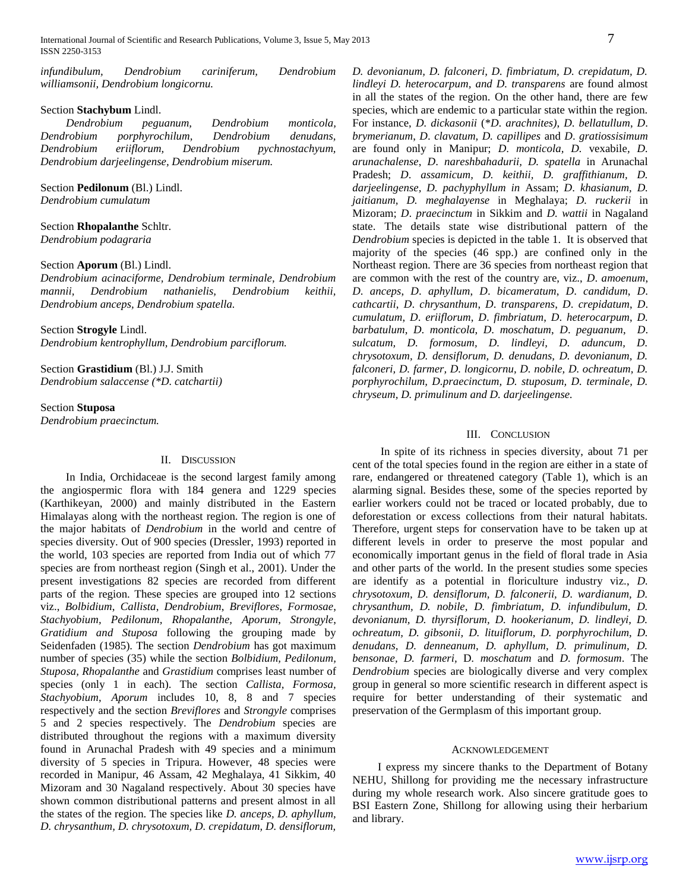*infundibulum, Dendrobium cariniferum, Dendrobium williamsonii, Dendrobium longicornu.*

## Section **Stachybum** Lindl.

 *Dendrobium peguanum, Dendrobium monticola, Dendrobium porphyrochilum, Dendrobium denudans, Dendrobium eriiflorum, Dendrobium pychnostachyum, Dendrobium darjeelingense, Dendrobium miserum.*

Section **Pedilonum** (Bl.) Lindl. *Dendrobium cumulatum*

Section **Rhopalanthe** Schltr. *Dendrobium podagraria*

#### Section **Aporum** (Bl.) Lindl.

*Dendrobium acinaciforme, Dendrobium terminale, Dendrobium mannii, Dendrobium nathanielis, Dendrobium keithii, Dendrobium anceps, Dendrobium spatella.*

Section **Strogyle** Lindl.

*Dendrobium kentrophyllum, Dendrobium parciflorum.*

Section **Grastidium** (Bl.) J.J. Smith *Dendrobium salaccense (\*D. catchartii)*

Section **Stuposa**

*Dendrobium praecinctum.* 

#### II. DISCUSSION

In India, Orchidaceae is the second largest family among the angiospermic flora with 184 genera and 1229 species (Karthikeyan, 2000) and mainly distributed in the Eastern Himalayas along with the northeast region. The region is one of the major habitats of *Dendrobium* in the world and centre of species diversity. Out of 900 species (Dressler, 1993) reported in the world, 103 species are reported from India out of which 77 species are from northeast region (Singh et al., 2001). Under the present investigations 82 species are recorded from different parts of the region. These species are grouped into 12 sections viz., *Bolbidium*, *Callista*, *Dendrobium*, *Breviflores*, *Formosae*, *Stachyobium, Pedilonum, Rhopalanthe, Aporum*, *Strongyle*, *Gratidium and Stuposa* following the grouping made by Seidenfaden (1985). The section *Dendrobium* has got maximum number of species (35) while the section *Bolbidium, Pedilonum, Stuposa, Rhopalanthe* and *Grastidium* comprises least number of species (only 1 in each). The section *Callista, Formosa, Stachyobium*, *Aporum* includes 10, 8, 8 and 7 species respectively and the section *Breviflores* and *Strongyle* comprises 5 and 2 species respectively. The *Dendrobium* species are distributed throughout the regions with a maximum diversity found in Arunachal Pradesh with 49 species and a minimum diversity of 5 species in Tripura. However, 48 species were recorded in Manipur, 46 Assam, 42 Meghalaya, 41 Sikkim, 40 Mizoram and 30 Nagaland respectively. About 30 species have shown common distributional patterns and present almost in all the states of the region. The species like *D. anceps, D. aphyllum, D. chrysanthum, D. chrysotoxum, D. crepidatum, D. densiflorum,* 

*D. devonianum, D. falconeri, D. fimbriatum, D. crepidatum, D. lindleyi D. heterocarpum, and D. transparens* are found almost in all the states of the region. On the other hand, there are few species, which are endemic to a particular state within the region. For instance, *D. dickasonii* (\**D*. *arachnites)*, *D*. *bellatullum*, *D*. *brymerianum*, *D*. *clavatum, D. capillipes* and *D*. *gratiossisimum* are found only in Manipur; *D*. *monticola, D.* vexabile*, D. arunachalense*, *D*. *nareshbahadurii, D. spatella* in Arunachal Pradesh; *D*. *assamicum, D. keithii, D. graffithianum, D. darjeelingense, D. pachyphyllum in* Assam; *D*. *khasianum, D. jaitianum, D. meghalayense* in Meghalaya; *D. ruckerii* in Mizoram; *D*. *praecinctum* in Sikkim and *D. wattii* in Nagaland state. The details state wise distributional pattern of the *Dendrobium* species is depicted in the table 1. It is observed that majority of the species (46 spp.) are confined only in the Northeast region. There are 36 species from northeast region that are common with the rest of the country are, viz., *D*. *amoenum*, *D*. *anceps*, *D*. *aphyllum*, *D*. *bicameratum*, *D*. *candidum*, *D*. *cathcartii*, *D*. *chrysanthum*, *D*. *transparens*, *D*. *crepidatum*, *D*. *cumulatum*, *D*. *eriiflorum*, *D*. *fimbriatum*, *D*. *heterocarpum*, *D. barbatulum*, *D*. *monticola*, *D*. *moschatum*, *D*. *peguanum*, *D*. *sulcatum, D. formosum, D. lindleyi, D. aduncum, D. chrysotoxum, D. densiflorum, D. denudans, D. devonianum, D. falconeri, D. farmer, D. longicornu, D. nobile, D. ochreatum, D. porphyrochilum, D.praecinctum, D. stuposum, D. terminale, D. chryseum, D. primulinum and D. darjeelingense.*

## III. CONCLUSION

In spite of its richness in species diversity, about 71 per cent of the total species found in the region are either in a state of rare, endangered or threatened category (Table 1), which is an alarming signal. Besides these, some of the species reported by earlier workers could not be traced or located probably, due to deforestation or excess collections from their natural habitats. Therefore, urgent steps for conservation have to be taken up at different levels in order to preserve the most popular and economically important genus in the field of floral trade in Asia and other parts of the world. In the present studies some species are identify as a potential in floriculture industry viz., *D. chrysotoxum, D. densiflorum, D. falconerii, D. wardianum, D. chrysanthum, D. nobile, D. fimbriatum, D. infundibulum, D. devonianum, D. thyrsiflorum, D. hookerianum, D. lindleyi, D. ochreatum, D. gibsonii, D. lituiflorum, D. porphyrochilum, D. denudans, D. denneanum, D. aphyllum, D. primulinum, D. bensonae, D. farmeri,* D*. moschatum* and *D. formosum*. The *Dendrobium* species are biologically diverse and very complex group in general so more scientific research in different aspect is require for better understanding of their systematic and preservation of the Germplasm of this important group.

#### ACKNOWLEDGEMENT

I express my sincere thanks to the Department of Botany NEHU, Shillong for providing me the necessary infrastructure during my whole research work. Also sincere gratitude goes to BSI Eastern Zone, Shillong for allowing using their herbarium and library.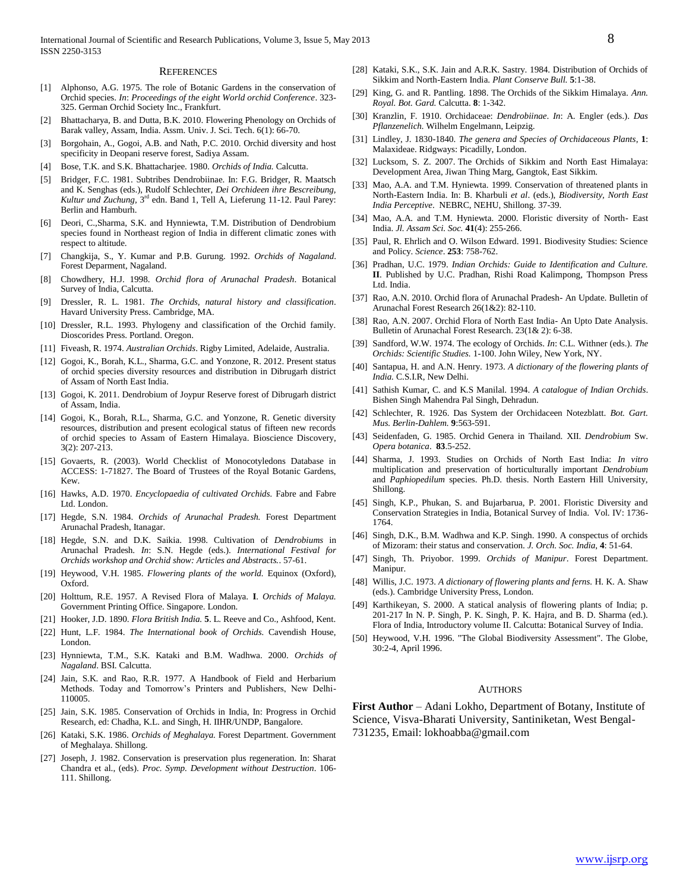#### **REFERENCES**

- [1] Alphonso, A.G. 1975. The role of Botanic Gardens in the conservation of Orchid species. *In*: *Proceedings of the eight World orchid Conference*. 323- 325. German Orchid Society Inc., Frankfurt.
- [2] Bhattacharya, B. and Dutta, B.K. 2010. Flowering Phenology on Orchids of Barak valley, Assam, India. Assm. Univ. J. Sci. Tech. 6(1): 66-70.
- [3] Borgohain, A., Gogoi, A.B. and Nath, P.C. 2010. Orchid diversity and host specificity in Deopani reserve forest, Sadiya Assam.
- [4] Bose, T.K. and S.K. Bhattacharjee. 1980. *Orchids of India.* Calcutta.
- [5] Bridger, F.C. 1981. Subtribes Dendrobiinae. In: F.G. Bridger, R. Maatsch and K. Senghas (eds.), Rudolf Schlechter, *Dei Orchideen ihre Bescreibung,*  Kultur und Zuchung, 3<sup>rd</sup> edn. Band 1, Tell A, Lieferung 11-12. Paul Parey: Berlin and Hamburh.
- [6] Deori, C.,Sharma, S.K. and Hynniewta, T.M. Distribution of Dendrobium species found in Northeast region of India in different climatic zones with respect to altitude.
- [7] Changkija, S., Y. Kumar and P.B. Gurung. 1992. *Orchids of Nagaland*. Forest Deparment, Nagaland.
- [8] Chowdhery, H.J. 1998. *Orchid flora of Arunachal Pradesh*. Botanical Survey of India, Calcutta.
- [9] Dressler, R. L. 1981. *The Orchids, natural history and classification*. Havard University Press. Cambridge, MA.
- [10] Dressler, R.L. 1993. Phylogeny and classification of the Orchid family. Dioscorides Press. Portland. Oregon.
- [11] Fiveash, R. 1974. *Australian Orchids*. Rigby Limited, Adelaide, Australia.
- [12] Gogoi, K., Borah, K.L., Sharma, G.C. and Yonzone, R. 2012. Present status of orchid species diversity resources and distribution in Dibrugarh district of Assam of North East India.
- [13] Gogoi, K. 2011. Dendrobium of Joypur Reserve forest of Dibrugarh district of Assam, India.
- [14] Gogoi, K., Borah, R.L., Sharma, G.C. and Yonzone, R. Genetic diversity resources, distribution and present ecological status of fifteen new records of orchid species to Assam of Eastern Himalaya. Bioscience Discovery, 3(2): 207-213.
- [15] Govaerts, R. (2003). World Checklist of Monocotyledons Database in ACCESS: 1-71827. The Board of Trustees of the Royal Botanic Gardens, Kew.
- [16] Hawks, A.D. 1970. *Encyclopaedia of cultivated Orchids.* Fabre and Fabre Ltd. London.
- [17] Hegde, S.N. 1984. *Orchids of Arunachal Pradesh.* Forest Department Arunachal Pradesh, Itanagar.
- [18] Hegde, S.N. and D.K. Saikia. 1998. Cultivation of *Dendrobiums* in Arunachal Pradesh. *In*: S.N. Hegde (eds.). *International Festival for Orchids workshop and Orchid show: Articles and Abstracts.*. 57-61.
- [19] Heywood, V.H. 1985. *Flowering plants of the world.* Equinox (Oxford), Oxford.
- [20] Holttum, R.E. 1957. A Revised Flora of Malaya. **I**. *Orchids of Malaya.* Government Printing Office. Singapore. London.
- [21] Hooker, J.D. 1890. *Flora British India.* **5**. L. Reeve and Co., Ashfood, Kent.
- [22] Hunt, L.F. 1984. *The International book of Orchids.* Cavendish House, London.
- [23] Hynniewta, T.M., S.K. Kataki and B.M. Wadhwa. 2000. *Orchids of Nagaland*. BSI. Calcutta.
- [24] Jain, S.K. and Rao, R.R. 1977. A Handbook of Field and Herbarium Methods. Today and Tomorrow's Printers and Publishers, New Delhi-110005.
- [25] Jain, S.K. 1985. Conservation of Orchids in India, In: Progress in Orchid Research, ed: Chadha, K.L. and Singh, H. IIHR/UNDP, Bangalore.
- [26] Kataki, S.K. 1986. *Orchids of Meghalaya.* Forest Department. Government of Meghalaya. Shillong.
- [27] Joseph, J. 1982. Conservation is preservation plus regeneration. In: Sharat Chandra et al., (eds). *Proc. Symp. Development without Destruction*. 106- 111. Shillong.
- [28] Kataki, S.K., S.K. Jain and A.R.K. Sastry. 1984. Distribution of Orchids of Sikkim and North-Eastern India. *Plant Conserve Bull.* **5**:1-38.
- [29] King, G. and R. Pantling. 1898. The Orchids of the Sikkim Himalaya. *Ann. Royal. Bot. Gard.* Calcutta. **8**: 1-342.
- [30] Kranzlin, F. 1910. Orchidaceae: *Dendrobiinae*. *In*: A. Engler (eds.). *Das Pflanzenelich.* Wilhelm Engelmann, Leipzig.
- [31] Lindley, J. 1830-1840. *The genera and Species of Orchidaceous Plants*, **1**: Malaxideae. Ridgways: Picadilly, London.
- [32] Lucksom, S. Z. 2007. The Orchids of Sikkim and North East Himalaya: Development Area, Jiwan Thing Marg, Gangtok, East Sikkim.
- [33] Mao, A.A. and T.M. Hyniewta. 1999. Conservation of threatened plants in North-Eastern India. In: B. Kharbuli *et al*. (eds.), *Biodiversity, North East India Perceptive*. NEBRC, NEHU, Shillong. 37-39.
- [34] Mao, A.A. and T.M. Hyniewta. 2000. Floristic diversity of North- East India. *Jl. Assam Sci. Soc.* **41**(4): 255-266.
- [35] Paul, R. Ehrlich and O. Wilson Edward. 1991. Biodivesity Studies: Science and Policy. *Science*. **253**: 758-762.
- [36] Pradhan, U.C. 1979. *Indian Orchids: Guide to Identification and Culture.* **II**. Published by U.C. Pradhan, Rishi Road Kalimpong, Thompson Press Ltd. India.
- [37] Rao, A.N. 2010. Orchid flora of Arunachal Pradesh- An Update. Bulletin of Arunachal Forest Research 26(1&2): 82-110.
- [38] Rao, A.N. 2007. Orchid Flora of North East India- An Upto Date Analysis. Bulletin of Arunachal Forest Research. 23(1& 2): 6-38.
- [39] Sandford, W.W. 1974. The ecology of Orchids. *In*: C.L. Withner (eds.). *The Orchids: Scientific Studies.* 1-100. John Wiley, New York, NY.
- [40] Santapua, H. and A.N. Henry. 1973. *A dictionary of the flowering plants of India.* C.S.I.R, New Delhi.
- [41] Sathish Kumar, C. and K.S Manilal. 1994. *A catalogue of Indian Orchids*. Bishen Singh Mahendra Pal Singh, Dehradun.
- [42] Schlechter, R. 1926. Das System der Orchidaceen Notezblatt. *Bot. Gart. Mus. Berlin-Dahlem.* **9**:563-591.
- [43] Seidenfaden, G. 1985. Orchid Genera in Thailand. XII. *Dendrobium* Sw. *Opera botanica*. **83**.5-252.
- [44] Sharma, J. 1993. Studies on Orchids of North East India: *In vitro* multiplication and preservation of horticulturally important *Dendrobium* and *Paphiopedilum* species. Ph.D. thesis. North Eastern Hill University, Shillong.
- [45] Singh, K.P., Phukan, S. and Bujarbarua, P. 2001. Floristic Diversity and Conservation Strategies in India, Botanical Survey of India. Vol. IV: 1736- 1764.
- [46] Singh, D.K., B.M. Wadhwa and K.P. Singh. 1990. A conspectus of orchids of Mizoram: their status and conservation. *J. Orch. Soc. India*, **4**: 51-64.
- [47] Singh, Th. Priyobor. 1999. *Orchids of Manipur*. Forest Department. Manipur.
- [48] Willis, J.C. 1973. *A dictionary of flowering plants and ferns.* H. K. A. Shaw (eds.). Cambridge University Press, London.
- [49] Karthikeyan, S. 2000. A statical analysis of flowering plants of India; p. 201-217 In N. P. Singh, P. K. Singh, P. K. Hajra, and B. D. Sharma (ed.). Flora of India, Introductory volume II. Calcutta: Botanical Survey of India.
- [50] Heywood, V.H. 1996. "The Global Biodiversity Assessment". The Globe, 30:2-4, April 1996.

#### AUTHORS

**First Author** – Adani Lokho, Department of Botany, Institute of Science, Visva-Bharati University, Santiniketan, West Bengal-731235, Email: lokhoabba@gmail.com